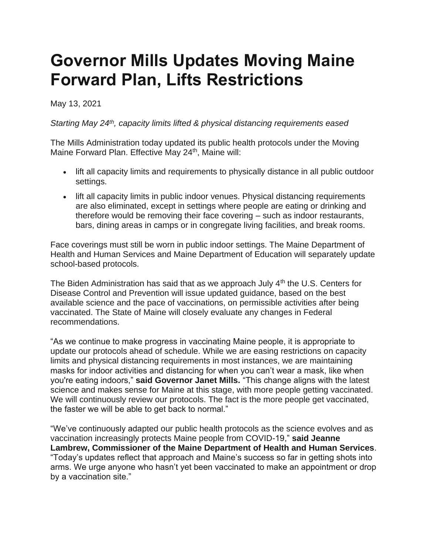## **Governor Mills Updates Moving Maine Forward Plan, Lifts Restrictions**

## May 13, 2021

## *Starting May 24th, capacity limits lifted & physical distancing requirements eased*

The Mills Administration today updated its public health protocols under the Moving Maine Forward Plan. Effective May 24<sup>th</sup>, Maine will:

- lift all capacity limits and requirements to physically distance in all public outdoor settings.
- lift all capacity limits in public indoor venues. Physical distancing requirements are also eliminated, except in settings where people are eating or drinking and therefore would be removing their face covering – such as indoor restaurants, bars, dining areas in camps or in congregate living facilities, and break rooms.

Face coverings must still be worn in public indoor settings. The Maine Department of Health and Human Services and Maine Department of Education will separately update school-based protocols.

The Biden Administration has said that as we approach July  $4<sup>th</sup>$  the U.S. Centers for Disease Control and Prevention will issue updated guidance, based on the best available science and the pace of vaccinations, on permissible activities after being vaccinated. The State of Maine will closely evaluate any changes in Federal recommendations.

"As we continue to make progress in vaccinating Maine people, it is appropriate to update our protocols ahead of schedule. While we are easing restrictions on capacity limits and physical distancing requirements in most instances, we are maintaining masks for indoor activities and distancing for when you can't wear a mask, like when you're eating indoors," **said Governor Janet Mills.** "This change aligns with the latest science and makes sense for Maine at this stage, with more people getting vaccinated. We will continuously review our protocols. The fact is the more people get vaccinated, the faster we will be able to get back to normal."

"We've continuously adapted our public health protocols as the science evolves and as vaccination increasingly protects Maine people from COVID-19," **said Jeanne Lambrew, Commissioner of the Maine Department of Health and Human Services**. "Today's updates reflect that approach and Maine's success so far in getting shots into arms. We urge anyone who hasn't yet been vaccinated to make an appointment or drop by a vaccination site."